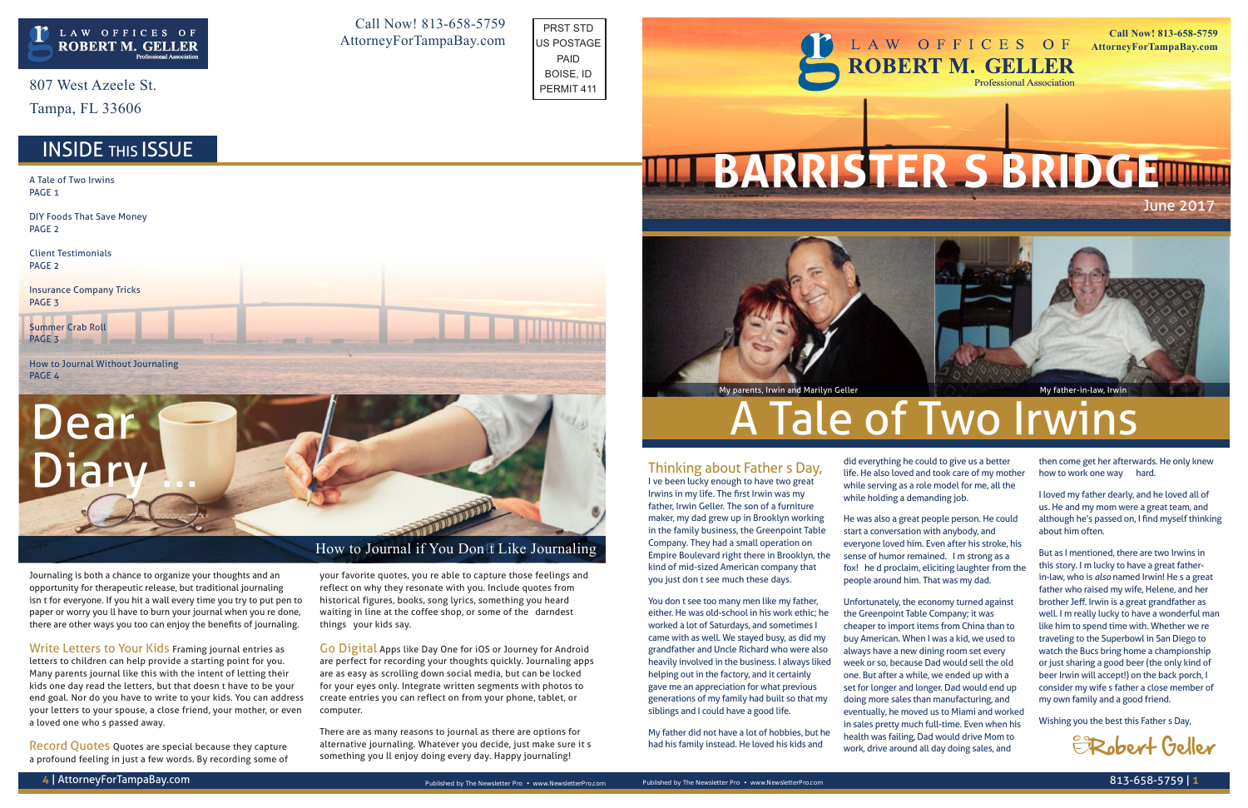Journaling is both a chance to organize your thoughts and an opportunity for therapeutic release, but traditional journaling isn't for everyone. If you hit a wall every time you try to put pen to paper or worry you'll have to burn your journal when you're done, there are other ways you too can enjoy the benefits of journaling.

Write Letters to Your Kids Framing journal entries as letters to children can help provide a starting point for you. Many parents journal like this with the intent of letting their kids one day read the letters, but that doesn't have to be your end goal. Nor do you have to write to your kids. You can address your letters to your spouse, a close friend, your mother, or even a loved one who's passed away.

Record Quotes Quotes are special because they capture a profound feeling in just a few words. By recording some of

# Dear Thinking about Father's Day,

your favorite quotes, you're able to capture those feelings and reflect on why they resonate with you. Include quotes from historical figures, books, song lyrics, something you heard waiting in line at the coffee shop, or some of the "darndest things" your kids say.

Go Digital Apps like Day One for iOS or Journey for Android are perfect for recording your thoughts quickly. Journaling apps are as easy as scrolling down social media, but can be locked for your eyes only. Integrate written segments with photos to create entries you can reflect on from your phone, tablet, or computer.

There are as many reasons to journal as there are options for alternative journaling. Whatever you decide, just make sure it's something you'll enjoy doing every day. Happy journaling!

807 West Azeele St.

Tampa, FL 33606

I've been lucky enough to have two great Irwins in my life. The first Irwin was my father, Irwin Geller. The son of a furniture maker, my dad grew up in Brooklyn working Company. They had a small operation on

in the family business, the Greenpoint Table Empire Boulevard right there in Brooklyn, the kind of mid-sized American company that you just don't see much these days.

A Tale of Two Irwins PAGE<sub>1</sub>

How to Journal Without Journaling PAGE<sub>4</sub>

> You don't see too many men like my father, either. He was old-school in his work ethic; he worked a lot of Saturdays, and sometimes I came with as well. We stayed busy, as did my grandfather and Uncle Richard who were also heavily involved in the business. I always liked helping out in the factory, and it certainly gave me an appreciation for what previous generations of my family had built so that my siblings and I could have a good life.

#### LAW OFFICES OF **ROBERT M. GELLER Professional Association**

My father did not have a lot of hobbies, but he had his family instead. He loved his kids and

did everything he could to give us a better life. He also loved and took care of my mother while serving as a role model for me, all the while holding a demanding job.

He was also a great people person. He could start a conversation with anybody, and everyone loved him. Even after his stroke, his sense of humor remained. "I'm strong as a fox!" he'd proclaim, eliciting laughter from the people around him. That was my dad.

Unfortunately, the economy turned against the Greenpoint Table Company; it was cheaper to import items from China than to buy American. When I was a kid, we used to always have a new dining room set every week or so, because Dad would sell the old one. But after a while, we ended up with a set for longer and longer. Dad would end up doing more sales than manufacturing, and eventually, he moved us to Miami and worked in sales pretty much full-time. Even when his health was failing, Dad would drive Mom to work, drive around all day doing sales, and

then come get her afterwards. He only knew how to work one way — hard.

I loved my father dearly, and he loved all of us. He and my mom were a great team, and although he's passed on, I find myself thinking about him often.

But as I mentioned, there are two Irwins in this story. I'm lucky to have a great fatherin-law, who is *also* named Irwin! He's a great father who raised my wife, Helene, and her brother Jeff. Irwin is a great grandfather as well. I'm really lucky to have a wonderful man like him to spend time with. Whether we're traveling to the Superbowl in San Diego to watch the Bucs bring home a championship or just sharing a good beer (the only kind of beer Irwin will accept!) on the back porch, I consider my wife's father a close member of my own family and a good friend.

Wishing you the best this Father's Day,

DIY Foods That Save Money PAGE 2

Client Testimonials PAGE 2

Insurance Company Tricks PAGE 3

Summer Crab Roll PAGE 3

Call Now! 813-658-5759 AttorneyForTampaBay.com

**Call Now! 813-658-5759 AttorneyForTampaBay.com**

June 2017





How to Journal if You Don't Like Journaling



## **Tale of Two Irwins**

– Robert Geller

PRST STD US POSTAGE PAID BOISE, ID PERMIT 411